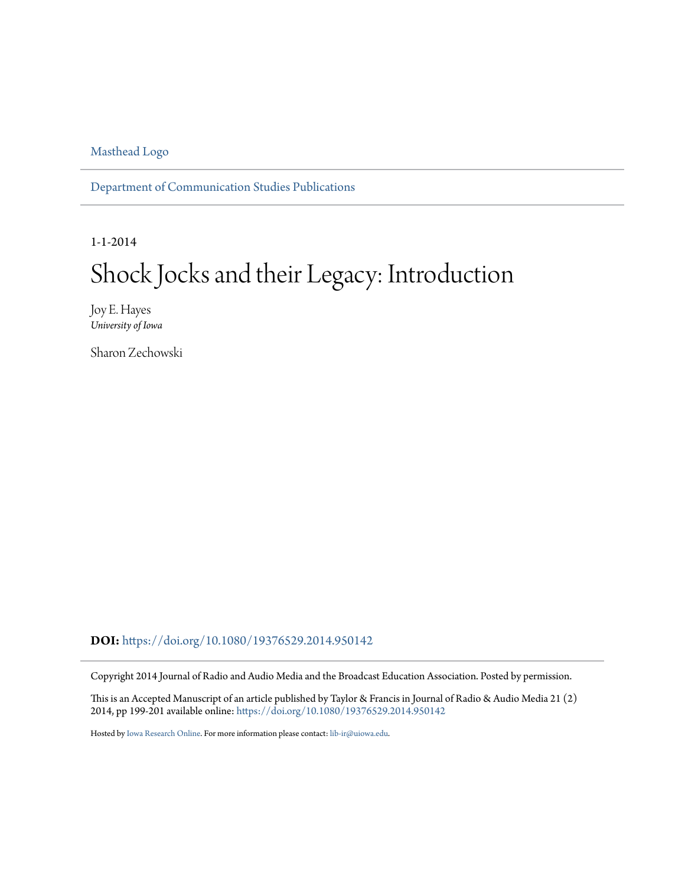[Masthead Logo](http://ir.uiowa.edu?utm_source=ir.uiowa.edu%2Fcommstud_pubs%2F26&utm_medium=PDF&utm_campaign=PDFCoverPages)

[Department of Communication Studies Publications](https://ir.uiowa.edu/commstud_pubs?utm_source=ir.uiowa.edu%2Fcommstud_pubs%2F26&utm_medium=PDF&utm_campaign=PDFCoverPages)

1-1-2014

## Shock Jocks and their Legacy: Introduction

Joy E. Hayes *University of Iowa*

Sharon Zechowski

**DOI:** <https://doi.org/10.1080/19376529.2014.950142>

Copyright 2014 Journal of Radio and Audio Media and the Broadcast Education Association. Posted by permission.

This is an Accepted Manuscript of an article published by Taylor & Francis in Journal of Radio & Audio Media 21 (2) 2014, pp 199-201 available online: <https://doi.org/10.1080/19376529.2014.950142>

Hosted by [Iowa Research Online](http://ir.uiowa.edu). For more information please contact: [lib-ir@uiowa.edu](mailto:lib-ir@uiowa.edu).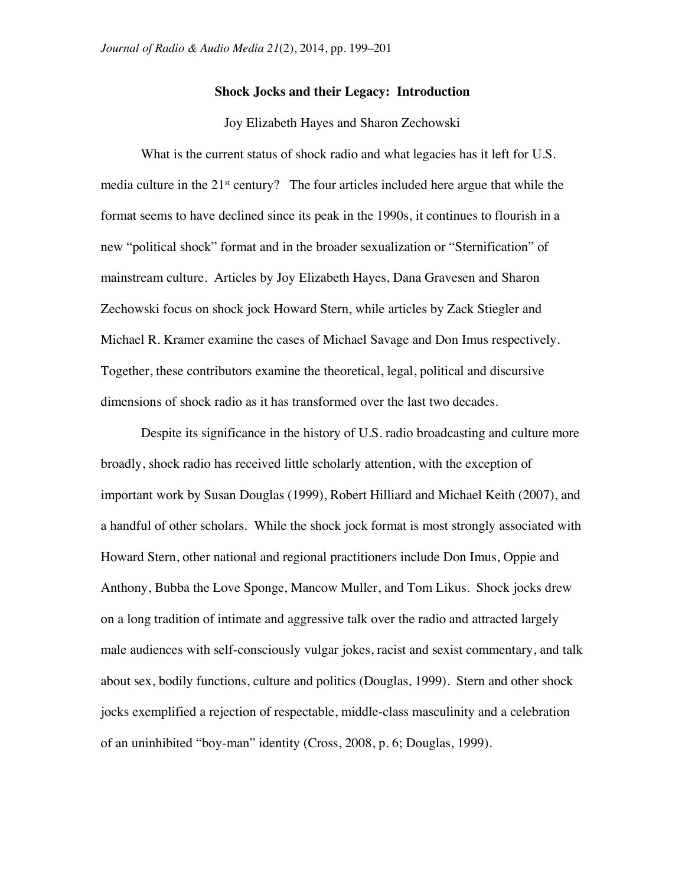## **Shock Jocks and their Legacy: Introduction**

## Joy Elizabeth Hayes and Sharon Zechowski

What is the current status of shock radio and what legacies has it left for U.S. media culture in the 21<sup>st</sup> century? The four articles included here argue that while the format seems to have declined since its peak in the 1990s, it continues to flourish in a new "political shock" format and in the broader sexualization or "Sternification" of mainstream culture. Articles by Joy Elizabeth Hayes, Dana Gravesen and Sharon Zechowski focus on shock jock Howard Stern, while articles by Zack Stiegler and Michael R. Kramer examine the cases of Michael Savage and Don Imus respectively. Together, these contributors examine the theoretical, legal, political and discursive dimensions of shock radio as it has transformed over the last two decades.

Despite its significance in the history of U.S. radio broadcasting and culture more broadly, shock radio has received little scholarly attention, with the exception of important work by Susan Douglas (1999), Robert Hilliard and Michael Keith (2007), and a handful of other scholars. While the shock jock format is most strongly associated with Howard Stern, other national and regional practitioners include Don Imus, Oppie and Anthony, Bubba the Love Sponge, Mancow Muller, and Tom Likus. Shock jocks drew on a long tradition of intimate and aggressive talk over the radio and attracted largely male audiences with self-consciously vulgar jokes, racist and sexist commentary, and talk about sex, bodily functions, culture and politics (Douglas, 1999). Stern and other shock jocks exemplified a rejection of respectable, middle-class masculinity and a celebration of an uninhibited "boy-man" identity (Cross, 2008, p. 6; Douglas, 1999).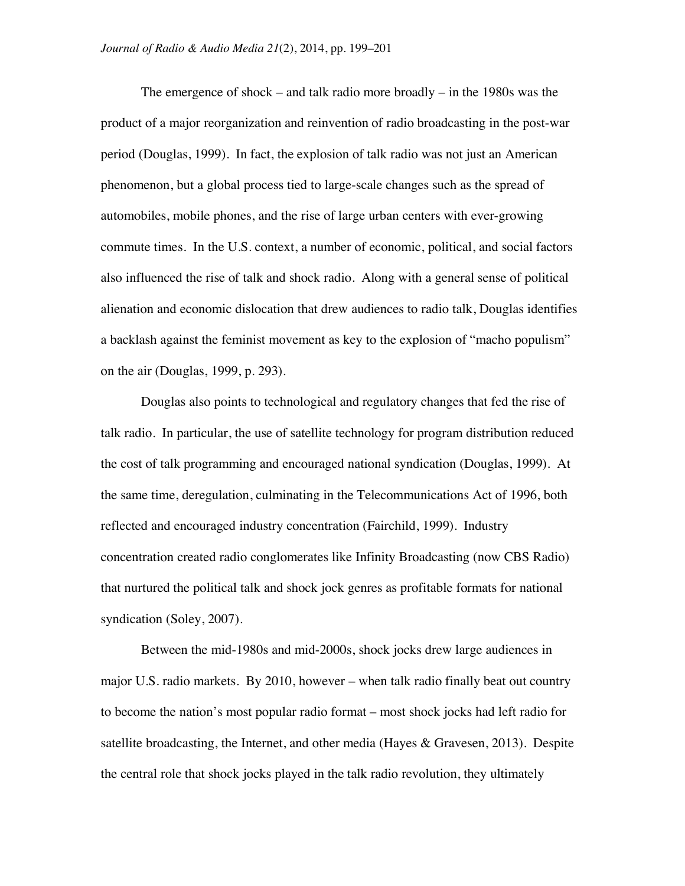The emergence of shock – and talk radio more broadly – in the 1980s was the product of a major reorganization and reinvention of radio broadcasting in the post-war period (Douglas, 1999). In fact, the explosion of talk radio was not just an American phenomenon, but a global process tied to large-scale changes such as the spread of automobiles, mobile phones, and the rise of large urban centers with ever-growing commute times. In the U.S. context, a number of economic, political, and social factors also influenced the rise of talk and shock radio. Along with a general sense of political alienation and economic dislocation that drew audiences to radio talk, Douglas identifies a backlash against the feminist movement as key to the explosion of "macho populism" on the air (Douglas, 1999, p. 293).

Douglas also points to technological and regulatory changes that fed the rise of talk radio. In particular, the use of satellite technology for program distribution reduced the cost of talk programming and encouraged national syndication (Douglas, 1999). At the same time, deregulation, culminating in the Telecommunications Act of 1996, both reflected and encouraged industry concentration (Fairchild, 1999). Industry concentration created radio conglomerates like Infinity Broadcasting (now CBS Radio) that nurtured the political talk and shock jock genres as profitable formats for national syndication (Soley, 2007).

Between the mid-1980s and mid-2000s, shock jocks drew large audiences in major U.S. radio markets. By 2010, however – when talk radio finally beat out country to become the nation's most popular radio format – most shock jocks had left radio for satellite broadcasting, the Internet, and other media (Hayes & Gravesen, 2013). Despite the central role that shock jocks played in the talk radio revolution, they ultimately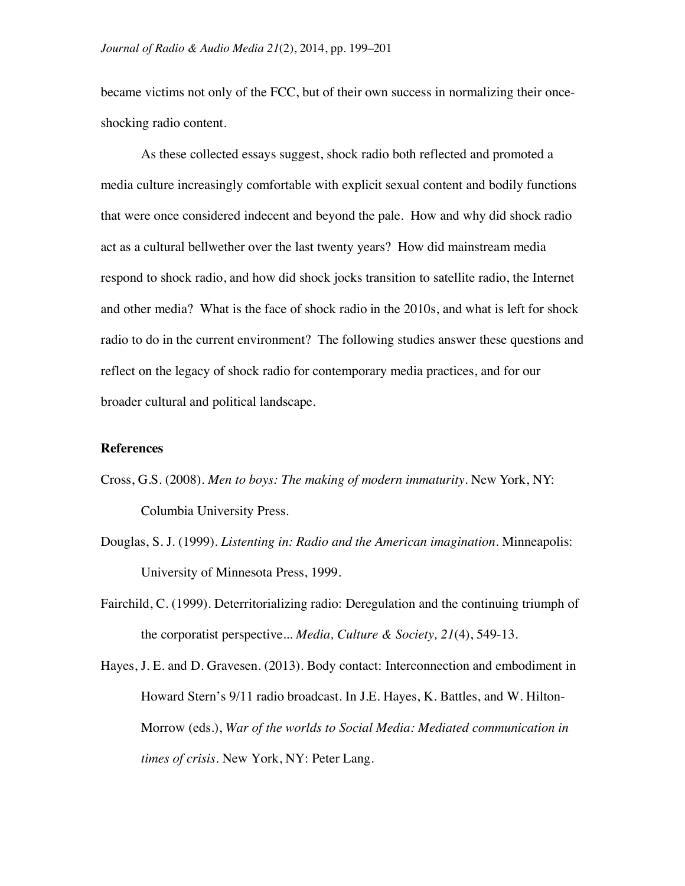became victims not only of the FCC, but of their own success in normalizing their onceshocking radio content.

As these collected essays suggest, shock radio both reflected and promoted a media culture increasingly comfortable with explicit sexual content and bodily functions that were once considered indecent and beyond the pale. How and why did shock radio act as a cultural bellwether over the last twenty years? How did mainstream media respond to shock radio, and how did shock jocks transition to satellite radio, the Internet and other media? What is the face of shock radio in the 2010s, and what is left for shock radio to do in the current environment? The following studies answer these questions and reflect on the legacy of shock radio for contemporary media practices, and for our broader cultural and political landscape.

## **References**

- Cross, G.S. (2008). *Men to boys: The making of modern immaturity*. New York, NY: Columbia University Press.
- Douglas, S. J. (1999). *Listenting in: Radio and the American imagination*. Minneapolis: University of Minnesota Press, 1999.
- Fairchild, C. (1999). Deterritorializing radio: Deregulation and the continuing triumph of the corporatist perspective... *Media, Culture & Society, 21*(4), 549-13.
- Hayes, J. E. and D. Gravesen. (2013). Body contact: Interconnection and embodiment in Howard Stern's 9/11 radio broadcast. In J.E. Hayes, K. Battles, and W. Hilton-Morrow (eds.), *War of the worlds to Social Media: Mediated communication in times of crisis.* New York, NY: Peter Lang.